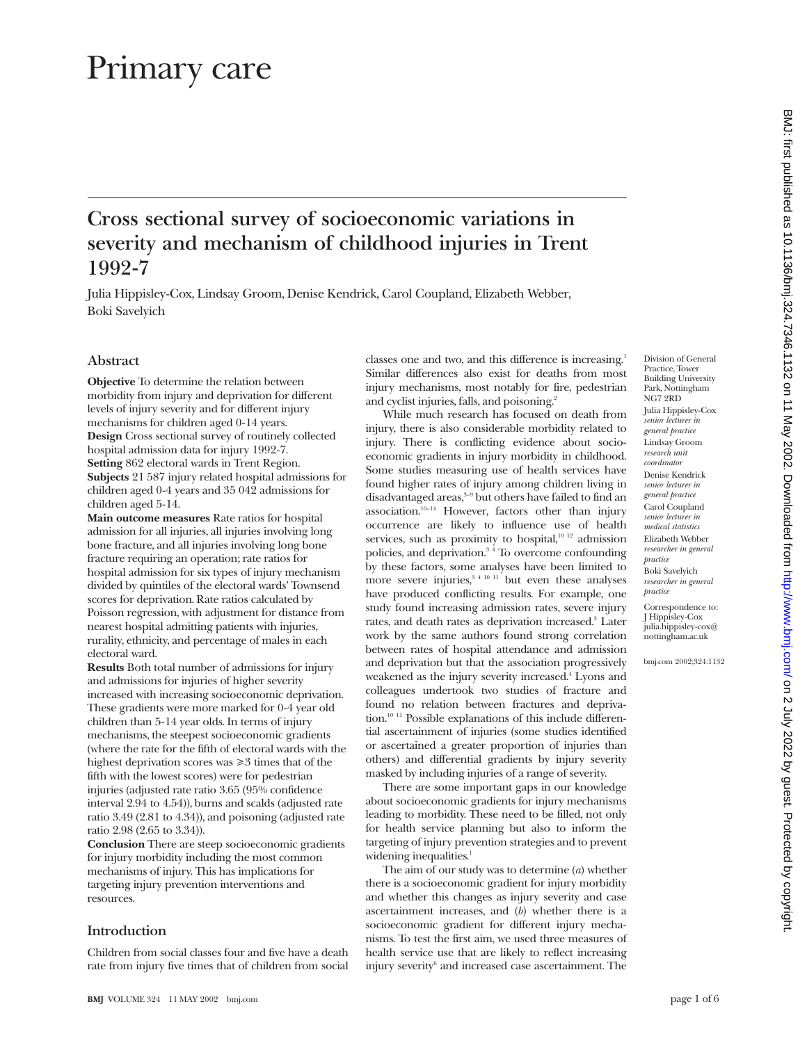# Primary care

# **Cross sectional survey of socioeconomic variations in severity and mechanism of childhood injuries in Trent 1992-7**

Julia Hippisley-Cox, Lindsay Groom, Denise Kendrick, Carol Coupland, Elizabeth Webber, Boki Savelyich

# **Abstract**

**Objective** To determine the relation between morbidity from injury and deprivation for different levels of injury severity and for different injury mechanisms for children aged 0-14 years. **Design** Cross sectional survey of routinely collected hospital admission data for injury 1992-7. **Setting** 862 electoral wards in Trent Region. **Subjects** 21 587 injury related hospital admissions for children aged 0-4 years and 35 042 admissions for children aged 5-14.

**Main outcome measures** Rate ratios for hospital admission for all injuries, all injuries involving long bone fracture, and all injuries involving long bone fracture requiring an operation; rate ratios for hospital admission for six types of injury mechanism divided by quintiles of the electoral wards' Townsend scores for deprivation. Rate ratios calculated by Poisson regression, with adjustment for distance from nearest hospital admitting patients with injuries, rurality, ethnicity, and percentage of males in each electoral ward.

**Results** Both total number of admissions for injury and admissions for injuries of higher severity increased with increasing socioeconomic deprivation. These gradients were more marked for 0-4 year old children than 5-14 year olds. In terms of injury mechanisms, the steepest socioeconomic gradients (where the rate for the fifth of electoral wards with the highest deprivation scores was  $\geq 3$  times that of the fifth with the lowest scores) were for pedestrian injuries (adjusted rate ratio 3.65 (95% confidence interval 2.94 to 4.54)), burns and scalds (adjusted rate ratio 3.49 (2.81 to 4.34)), and poisoning (adjusted rate ratio 2.98 (2.65 to 3.34)).

**Conclusion** There are steep socioeconomic gradients for injury morbidity including the most common mechanisms of injury. This has implications for targeting injury prevention interventions and resources.

# **Introduction**

Children from social classes four and five have a death rate from injury five times that of children from social

classes one and two, and this difference is increasing.<sup>1</sup> Similar differences also exist for deaths from most injury mechanisms, most notably for fire, pedestrian and cyclist injuries, falls, and poisoning.<sup>2</sup>

While much research has focused on death from injury, there is also considerable morbidity related to injury. There is conflicting evidence about socioeconomic gradients in injury morbidity in childhood. Some studies measuring use of health services have found higher rates of injury among children living in disadvantaged areas,<sup>3-9</sup> but others have failed to find an association. $10-14}$  However, factors other than injury occurrence are likely to influence use of health services, such as proximity to hospital, $10^{-12}$  admission policies, and deprivation.3 4 To overcome confounding by these factors, some analyses have been limited to more severe injuries, $3^{4}$  10 11 but even these analyses have produced conflicting results. For example, one study found increasing admission rates, severe injury rates, and death rates as deprivation increased.<sup>3</sup> Later work by the same authors found strong correlation between rates of hospital attendance and admission and deprivation but that the association progressively weakened as the injury severity increased.<sup>4</sup> Lyons and colleagues undertook two studies of fracture and found no relation between fractures and deprivation.<sup>10 11</sup> Possible explanations of this include differential ascertainment of injuries (some studies identified or ascertained a greater proportion of injuries than others) and differential gradients by injury severity masked by including injuries of a range of severity.

There are some important gaps in our knowledge about socioeconomic gradients for injury mechanisms leading to morbidity. These need to be filled, not only for health service planning but also to inform the targeting of injury prevention strategies and to prevent widening inequalities.<sup>1</sup>

The aim of our study was to determine (*a*) whether there is a socioeconomic gradient for injury morbidity and whether this changes as injury severity and case ascertainment increases, and (*b*) whether there is a socioeconomic gradient for different injury mechanisms. To test the first aim, we used three measures of health service use that are likely to reflect increasing injury severity<sup>6</sup> and increased case ascertainment. The

Division of General Practice, Tower Building University Park, Nottingham NG7 2RD Julia Hippisley-Cox *senior lecturer in general practice* Lindsay Groom *research unit coordinator* Denise Kendrick *senior lecturer in general practice* Carol Coupland *senior lecturer in medical statistics* Elizabeth Webber *researcher in general practice* Boki Savelyich *researcher in general practice*

Correspondence to: J Hippisley-Cox julia.hippisley-cox@ nottingham.ac.uk

bmj.com 2002;324:1132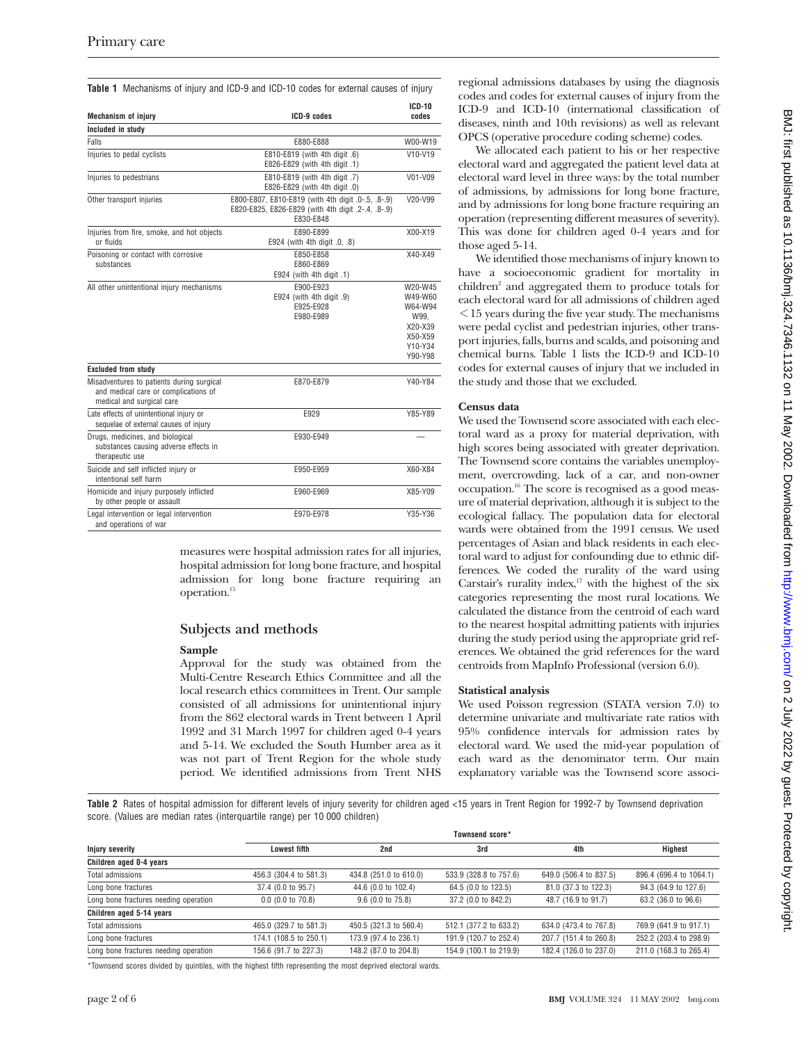**Table 1** Mechanisms of injury and ICD-9 and ICD-10 codes for external causes of injury

| <b>Mechanism of injury</b>                                                                                     | ICD-9 codes                                                                                                           | $ICD-10$<br>codes                                                                 |  |
|----------------------------------------------------------------------------------------------------------------|-----------------------------------------------------------------------------------------------------------------------|-----------------------------------------------------------------------------------|--|
| Included in study                                                                                              |                                                                                                                       |                                                                                   |  |
| Falls                                                                                                          | E880-E888                                                                                                             | W00-W19                                                                           |  |
| Injuries to pedal cyclists                                                                                     | E810-E819 (with 4th digit .6)<br>E826-E829 (with 4th digit .1)                                                        | V10-V19                                                                           |  |
| Injuries to pedestrians                                                                                        | E810-E819 (with 4th digit .7)<br>E826-E829 (with 4th digit .0)                                                        | V01-V09                                                                           |  |
| Other transport injuries                                                                                       | E800-E807, E810-E819 (with 4th digit .0-.5, .8-.9)<br>E820-E825, E826-E829 (with 4th digit .2-.4, .8-.9)<br>E830-E848 | V20-V99                                                                           |  |
| Injuries from fire, smoke, and hot objects<br>or fluids                                                        | E890-E899<br>E924 (with 4th digit .0, .8)                                                                             | X00-X19                                                                           |  |
| Poisoning or contact with corrosive<br>substances                                                              | E850-E858<br>E860-E869<br>E924 (with 4th digit .1)                                                                    | X40-X49                                                                           |  |
| All other unintentional injury mechanisms                                                                      | E900-E923<br>E924 (with 4th digit .9)<br>E925-E928<br>E980-E989                                                       | W20-W45<br>W49-W60<br>W64-W94<br>W99.<br>X20-X39<br>X50-X59<br>Y10-Y34<br>Y90-Y98 |  |
| <b>Excluded from study</b>                                                                                     |                                                                                                                       |                                                                                   |  |
| Misadventures to patients during surgical<br>and medical care or complications of<br>medical and surgical care | E870-E879                                                                                                             | Y40-Y84                                                                           |  |
| Late effects of unintentional injury or<br>sequelae of external causes of injury                               | E929                                                                                                                  | Y85-Y89                                                                           |  |
| Drugs, medicines, and biological<br>substances causing adverse effects in<br>therapeutic use                   | E930-E949                                                                                                             |                                                                                   |  |
| Suicide and self inflicted injury or<br>intentional self harm                                                  | E950-E959                                                                                                             | X60-X84                                                                           |  |
| Homicide and injury purposely inflicted<br>by other people or assault                                          | E960-E969                                                                                                             | X85-Y09                                                                           |  |
| Legal intervention or legal intervention<br>and operations of war                                              | E970-E978                                                                                                             | Y35-Y36                                                                           |  |

measures were hospital admission rates for all injuries, hospital admission for long bone fracture, and hospital admission for long bone fracture requiring an operation.15

# **Subjects and methods**

## **Sample**

Approval for the study was obtained from the Multi-Centre Research Ethics Committee and all the local research ethics committees in Trent. Our sample consisted of all admissions for unintentional injury from the 862 electoral wards in Trent between 1 April 1992 and 31 March 1997 for children aged 0-4 years and 5-14. We excluded the South Humber area as it was not part of Trent Region for the whole study period. We identified admissions from Trent NHS

regional admissions databases by using the diagnosis codes and codes for external causes of injury from the ICD-9 and ICD-10 (international classification of diseases, ninth and 10th revisions) as well as relevant OPCS (operative procedure coding scheme) codes.

We allocated each patient to his or her respective electoral ward and aggregated the patient level data at electoral ward level in three ways: by the total number of admissions, by admissions for long bone fracture, and by admissions for long bone fracture requiring an operation (representing different measures of severity). This was done for children aged 0-4 years and for those aged 5-14.

We identified those mechanisms of injury known to have a socioeconomic gradient for mortality in children<sup>2</sup> and aggregated them to produce totals for each electoral ward for all admissions of children aged  $\leq$  15 years during the five year study. The mechanisms were pedal cyclist and pedestrian injuries, other transport injuries, falls, burns and scalds, and poisoning and chemical burns. Table 1 lists the ICD-9 and ICD-10 codes for external causes of injury that we included in the study and those that we excluded.

# **Census data**

We used the Townsend score associated with each electoral ward as a proxy for material deprivation, with high scores being associated with greater deprivation. The Townsend score contains the variables unemployment, overcrowding, lack of a car, and non-owner occupation.16 The score is recognised as a good measure of material deprivation, although it is subject to the ecological fallacy. The population data for electoral wards were obtained from the 1991 census. We used percentages of Asian and black residents in each electoral ward to adjust for confounding due to ethnic differences. We coded the rurality of the ward using Carstair's rurality index, $17$  with the highest of the six categories representing the most rural locations. We calculated the distance from the centroid of each ward to the nearest hospital admitting patients with injuries during the study period using the appropriate grid references. We obtained the grid references for the ward centroids from MapInfo Professional (version 6.0).

#### **Statistical analysis**

We used Poisson regression (STATA version 7.0) to determine univariate and multivariate rate ratios with 95% confidence intervals for admission rates by electoral ward. We used the mid-year population of each ward as the denominator term. Our main explanatory variable was the Townsend score associ-

Table 2 Rates of hospital admission for different levels of injury severity for children aged <15 years in Trent Region for 1992-7 by Townsend deprivation score. (Values are median rates (interquartile range) per 10 000 children)

|                                       | Townsend score*        |                        |                        |                        |                         |  |  |
|---------------------------------------|------------------------|------------------------|------------------------|------------------------|-------------------------|--|--|
| <b>Injury severity</b>                | <b>Lowest fifth</b>    | 2nd                    | 3rd                    | 4th                    | Highest                 |  |  |
| Children aged 0-4 years               |                        |                        |                        |                        |                         |  |  |
| Total admissions                      | 456.3 (304.4 to 581.3) | 434.8 (251.0 to 610.0) | 533.9 (328.8 to 757.6) | 649.0 (506.4 to 837.5) | 896.4 (696.4 to 1064.1) |  |  |
| Long bone fractures                   | 37.4 (0.0 to 95.7)     | 44.6 (0.0 to 102.4)    | 64.5 (0.0 to 123.5)    | 81.0 (37.3 to 122.3)   | 94.3 (64.9 to 127.6)    |  |  |
| Long bone fractures needing operation | $0.0$ (0.0 to 70.8)    | $9.6$ (0.0 to 75.8)    | 37.2 (0.0 to 842.2)    | 48.7 (16.9 to 91.7)    | 63.2 (36.0 to 96.6)     |  |  |
| Children aged 5-14 years              |                        |                        |                        |                        |                         |  |  |
| Total admissions                      | 465.0 (329.7 to 581.3) | 450.5 (321.3 to 560.4) | 512.1 (377.2 to 633.2) | 634.0 (473.4 to 767.8) | 769.9 (641.9 to 917.1)  |  |  |
| Long bone fractures                   | 174.1 (108.5 to 250.1) | 173.9 (97.4 to 236.1)  | 191.9 (120.7 to 252.4) | 207.7 (151.4 to 260.8) | 252.2 (203.4 to 298.9)  |  |  |
| Long bone fractures needing operation | 156.6 (91.7 to 227.3)  | 148.2 (87.0 to 204.8)  | 154.9 (100.1 to 219.9) | 182.4 (126.0 to 237.0) | 211.0 (168.3 to 265.4)  |  |  |

\*Townsend scores divided by quintiles, with the highest fifth representing the most deprived electoral wards.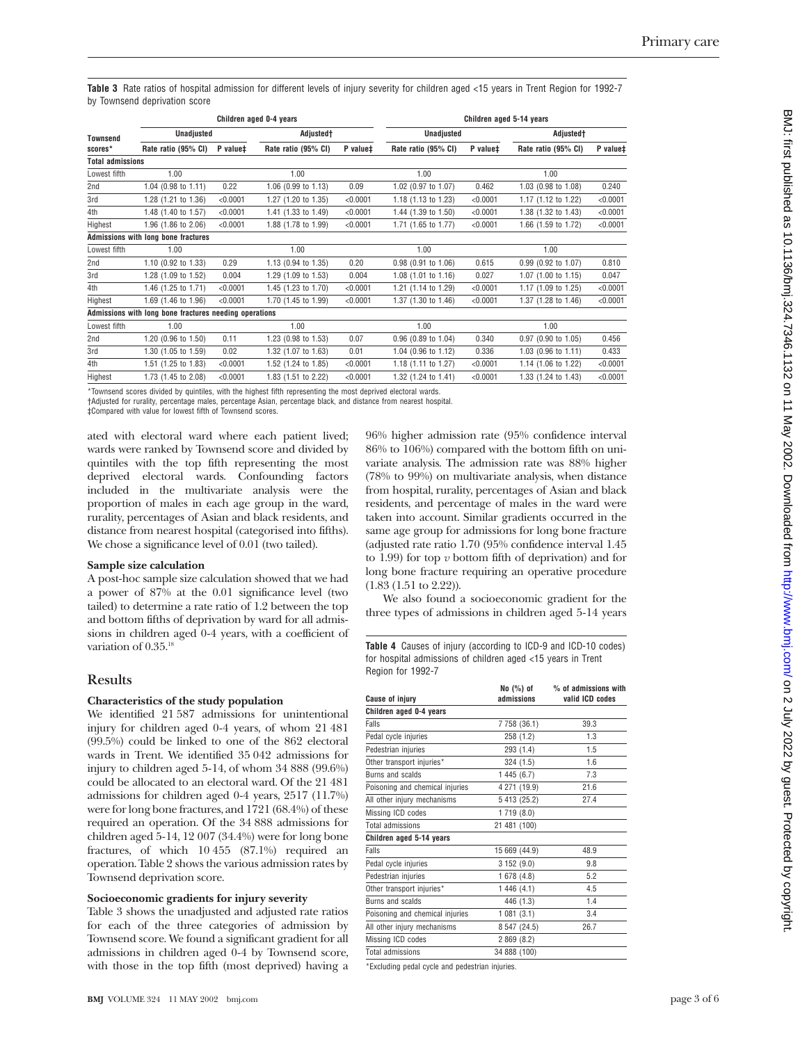**Table 3** Rate ratios of hospital admission for different levels of injury severity for children aged <15 years in Trent Region for 1992-7 by Townsend deprivation score

|                         | Children aged 0-4 years                                |          |                                                                                                                                                                                                                                    |          | Children aged 5-14 years |          |                       |          |
|-------------------------|--------------------------------------------------------|----------|------------------------------------------------------------------------------------------------------------------------------------------------------------------------------------------------------------------------------------|----------|--------------------------|----------|-----------------------|----------|
| <b>Townsend</b>         | <b>Unadjusted</b>                                      |          | Adjusted <sup>+</sup>                                                                                                                                                                                                              |          | Unadjusted               |          | Adjusted†             |          |
| scores*                 | Rate ratio (95% CI)                                    | P value# | Rate ratio (95% CI)                                                                                                                                                                                                                | P value‡ | Rate ratio (95% CI)      | P value‡ | Rate ratio (95% CI)   | P value‡ |
| <b>Total admissions</b> |                                                        |          |                                                                                                                                                                                                                                    |          |                          |          |                       |          |
| Lowest fifth            | 1.00                                                   |          | 1.00                                                                                                                                                                                                                               |          | 1.00                     |          | 1.00                  |          |
| 2nd                     | 1.04 (0.98 to 1.11)                                    | 0.22     | 1.06 (0.99 to 1.13)                                                                                                                                                                                                                | 0.09     | 1.02 (0.97 to 1.07)      | 0.462    | 1.03 (0.98 to 1.08)   | 0.240    |
| 3rd                     | 1.28 (1.21 to 1.36)                                    | < 0.0001 | 1.27 (1.20 to 1.35)                                                                                                                                                                                                                | < 0.0001 | 1.18 (1.13 to 1.23)      | < 0.0001 | 1.17 (1.12 to 1.22)   | < 0.0001 |
| 4th                     | 1.48 (1.40 to 1.57)                                    | < 0.0001 | 1.41 (1.33 to 1.49)                                                                                                                                                                                                                | < 0.0001 | 1.44 (1.39 to 1.50)      | < 0.0001 | 1.38 (1.32 to 1.43)   | < 0.0001 |
| Highest                 | 1.96 (1.86 to 2.06)                                    | < 0.0001 | 1.88 (1.78 to 1.99)                                                                                                                                                                                                                | < 0.0001 | 1.71 (1.65 to 1.77)      | < 0.0001 | 1.66 (1.59 to 1.72)   | < 0.0001 |
|                         | Admissions with long bone fractures                    |          |                                                                                                                                                                                                                                    |          |                          |          |                       |          |
| Lowest fifth            | 1.00                                                   |          | 1.00                                                                                                                                                                                                                               |          | 1.00                     |          | 1.00                  |          |
| 2nd                     | 1.10 (0.92 to 1.33)                                    | 0.29     | 1.13 (0.94 to 1.35)                                                                                                                                                                                                                | 0.20     | 0.98 (0.91 to 1.06)      | 0.615    | 0.99 (0.92 to 1.07)   | 0.810    |
| 3rd                     | 1.28 (1.09 to 1.52)                                    | 0.004    | 1.29 (1.09 to 1.53)                                                                                                                                                                                                                | 0.004    | $1.08$ (1.01 to 1.16)    | 0.027    | $1.07$ (1.00 to 1.15) | 0.047    |
| 4th                     | 1.46 (1.25 to 1.71)                                    | < 0.0001 | 1.45 (1.23 to 1.70)                                                                                                                                                                                                                | < 0.0001 | 1.21 (1.14 to 1.29)      | < 0.0001 | 1.17 (1.09 to 1.25)   | < 0.0001 |
| Highest                 | 1.69 (1.46 to 1.96)                                    | < 0.0001 | 1.70 (1.45 to 1.99)                                                                                                                                                                                                                | < 0.0001 | 1.37 (1.30 to 1.46)      | < 0.0001 | 1.37 (1.28 to 1.46)   | < 0.0001 |
|                         | Admissions with long bone fractures needing operations |          |                                                                                                                                                                                                                                    |          |                          |          |                       |          |
| Lowest fifth            | 1.00                                                   |          | 1.00                                                                                                                                                                                                                               |          | 1.00                     |          | 1.00                  |          |
| 2nd                     | 1.20 (0.96 to 1.50)                                    | 0.11     | 1.23 (0.98 to 1.53)                                                                                                                                                                                                                | 0.07     | 0.96 (0.89 to 1.04)      | 0.340    | $0.97$ (0.90 to 1.05) | 0.456    |
| 3rd                     | 1.30 (1.05 to 1.59)                                    | 0.02     | 1.32 (1.07 to 1.63)                                                                                                                                                                                                                | 0.01     | 1.04 (0.96 to 1.12)      | 0.336    | 1.03 (0.96 to 1.11)   | 0.433    |
| 4th                     | 1.51 (1.25 to 1.83)                                    | < 0.0001 | 1.52 (1.24 to 1.85)                                                                                                                                                                                                                | < 0.0001 | 1.18 (1.11 to 1.27)      | < 0.0001 | 1.14 (1.06 to 1.22)   | < 0.0001 |
| Highest                 | 1.73 (1.45 to 2.08)                                    | < 0.0001 | 1.83 (1.51 to 2.22)                                                                                                                                                                                                                | < 0.0001 | 1.32 (1.24 to 1.41)      | < 0.0001 | 1.33 (1.24 to 1.43)   | < 0.0001 |
|                         |                                                        |          | $\mathcal{L}$ , and the second contract of the second contract of the second contract of the second contract of the second contract of the second contract of the second contract of the second contract of the second contract of |          |                          |          |                       |          |

Townsend scores divided by quintiles, with the highest fifth representing the most deprived electoral wards.

†Adjusted for rurality, percentage males, percentage Asian, percentage black, and distance from nearest hospital.

‡Compared with value for lowest fifth of Townsend scores.

ated with electoral ward where each patient lived; wards were ranked by Townsend score and divided by quintiles with the top fifth representing the most deprived electoral wards. Confounding factors included in the multivariate analysis were the proportion of males in each age group in the ward, rurality, percentages of Asian and black residents, and distance from nearest hospital (categorised into fifths). We chose a significance level of 0.01 (two tailed).

#### **Sample size calculation**

A post-hoc sample size calculation showed that we had a power of 87% at the 0.01 significance level (two tailed) to determine a rate ratio of 1.2 between the top and bottom fifths of deprivation by ward for all admissions in children aged 0-4 years, with a coefficient of variation of  $0.35$ <sup>18</sup>

#### **Results**

#### **Characteristics of the study population**

We identified 21 587 admissions for unintentional injury for children aged 0-4 years, of whom 21 481 (99.5%) could be linked to one of the 862 electoral wards in Trent. We identified 35 042 admissions for injury to children aged 5-14, of whom 34 888 (99.6%) could be allocated to an electoral ward. Of the 21 481 admissions for children aged 0-4 years, 2517 (11.7%) were for long bone fractures, and 1721 (68.4%) of these required an operation. Of the 34 888 admissions for children aged 5-14, 12 007 (34.4%) were for long bone fractures, of which 10 455 (87.1%) required an operation. Table 2 shows the various admission rates by Townsend deprivation score.

#### **Socioeconomic gradients for injury severity**

Table 3 shows the unadjusted and adjusted rate ratios for each of the three categories of admission by Townsend score. We found a significant gradient for all admissions in children aged 0-4 by Townsend score, with those in the top fifth (most deprived) having a 96% higher admission rate (95% confidence interval 86% to 106%) compared with the bottom fifth on univariate analysis. The admission rate was 88% higher (78% to 99%) on multivariate analysis, when distance from hospital, rurality, percentages of Asian and black residents, and percentage of males in the ward were taken into account. Similar gradients occurred in the same age group for admissions for long bone fracture (adjusted rate ratio 1.70 (95% confidence interval 1.45 to 1.99) for top  $v$  bottom fifth of deprivation) and for long bone fracture requiring an operative procedure (1.83 (1.51 to 2.22)).

We also found a socioeconomic gradient for the three types of admissions in children aged 5-14 years

**Table 4** Causes of injury (according to ICD-9 and ICD-10 codes) for hospital admissions of children aged <15 years in Trent Region for 1992-7

| <b>Cause of injury</b>          | No (%) of<br>admissions | % of admissions with<br>valid ICD codes |
|---------------------------------|-------------------------|-----------------------------------------|
| Children aged 0-4 years         |                         |                                         |
| Falls                           | 7 758 (36.1)            | 39.3                                    |
| Pedal cycle injuries            | 258 (1.2)               | 1.3                                     |
| Pedestrian injuries             | 293(1.4)                | 1.5                                     |
| Other transport injuries*       | 324 (1.5)               | 1.6                                     |
| Burns and scalds                | 1 445 (6.7)             | 7.3                                     |
| Poisoning and chemical injuries | 4 271 (19.9)            | 21.6                                    |
| All other injury mechanisms     | 5 413 (25.2)            | 27.4                                    |
| Missing ICD codes               | 1719 (8.0)              |                                         |
| Total admissions                | 21 481 (100)            |                                         |
| Children aged 5-14 years        |                         |                                         |
| Falls                           | 15 669 (44.9)           | 48.9                                    |
| Pedal cycle injuries            | 3 152 (9.0)             | 9.8                                     |
| Pedestrian injuries             | 1 678 (4.8)             | 5.2                                     |
| Other transport injuries*       | 1 446 (4.1)             | 4.5                                     |
| Burns and scalds                | 446 (1.3)               | 1.4                                     |
| Poisoning and chemical injuries | 1081(3.1)               | 3.4                                     |
| All other injury mechanisms     | 8 547 (24.5)            | 26.7                                    |
| Missing ICD codes               | 2 869 (8.2)             |                                         |
| Total admissions                | 34 888 (100)            |                                         |

\*Excluding pedal cycle and pedestrian injuries.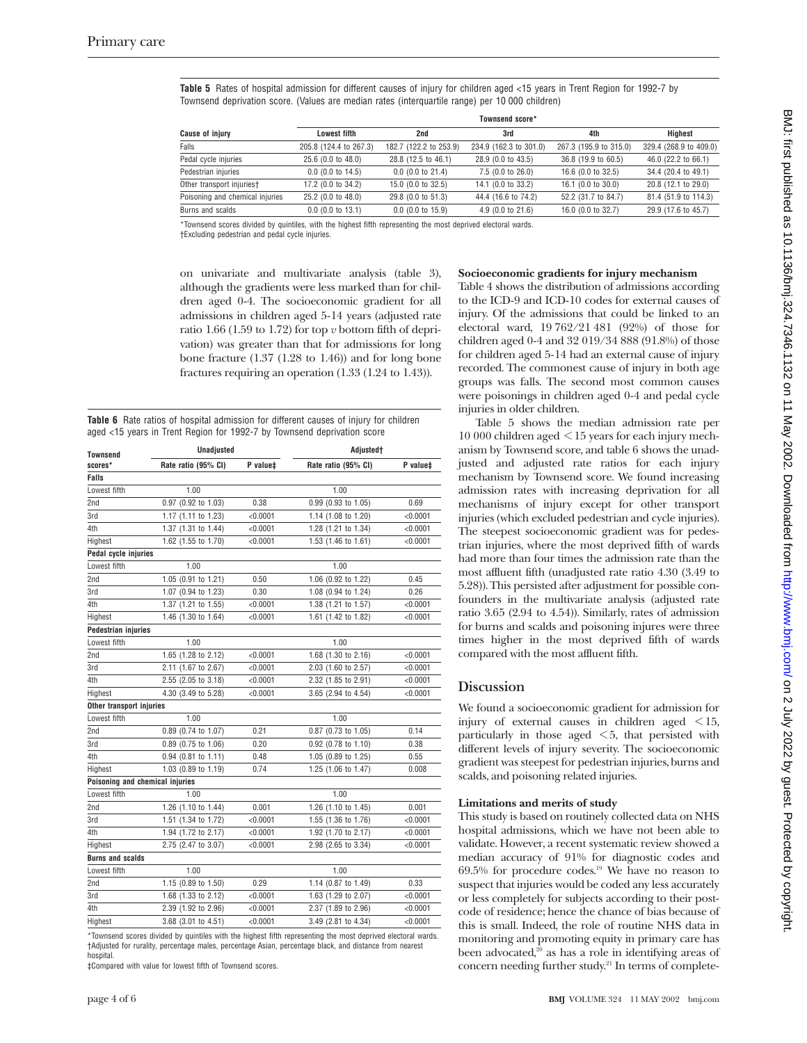**Table 5** Rates of hospital admission for different causes of injury for children aged <15 years in Trent Region for 1992-7 by Townsend deprivation score. (Values are median rates (interquartile range) per 10 000 children)

|                                 | Townsend score*        |                        |                             |                        |                        |  |
|---------------------------------|------------------------|------------------------|-----------------------------|------------------------|------------------------|--|
| <b>Cause of injury</b>          | Lowest fifth           | 2nd                    | 3rd                         | 4th                    | Highest                |  |
| Falls                           | 205.8 (124.4 to 267.3) | 182.7 (122.2 to 253.9) | 234.9 (162.3 to 301.0)      | 267.3 (195.9 to 315.0) | 329.4 (268.9 to 409.0) |  |
| Pedal cycle injuries            | 25.6 (0.0 to 48.0)     | 28.8 (12.5 to 46.1)    | 28.9 (0.0 to 43.5)          | 36.8 (19.9 to 60.5)    | 46.0 (22.2 to 66.1)    |  |
| Pedestrian injuries             | $0.0$ (0.0 to 14.5)    | $0.0$ (0.0 to 21.4)    | 7.5 (0.0 to 26.0)           | 16.6 (0.0 to 32.5)     | 34.4 (20.4 to 49.1)    |  |
| Other transport injuries†       | 17.2 (0.0 to 34.2)     | 15.0 (0.0 to 32.5)     | 14.1 (0.0 to 33.2)          | 16.1 (0.0 to 30.0)     | 20.8 (12.1 to 29.0)    |  |
| Poisoning and chemical injuries | 25.2 (0.0 to 48.0)     | 29.8 (0.0 to 51.3)     | 44.4 (16.6 to 74.2)         | 52.2 (31.7 to 84.7)    | 81.4 (51.9 to 114.3)   |  |
| Burns and scalds                | $0.0$ (0.0 to 13.1)    | $0.0$ (0.0 to 15.9)    | $4.9(0.0 \text{ to } 21.6)$ | 16.0 (0.0 to 32.7)     | 29.9 (17.6 to 45.7)    |  |

\*Townsend scores divided by quintiles, with the highest fifth representing the most deprived electoral wards. †Excluding pedestrian and pedal cycle injuries.

on univariate and multivariate analysis (table 3), although the gradients were less marked than for children aged 0-4. The socioeconomic gradient for all admissions in children aged 5-14 years (adjusted rate ratio 1.66 (1.59 to 1.72) for top  $v$  bottom fifth of deprivation) was greater than that for admissions for long bone fracture (1.37 (1.28 to 1.46)) and for long bone fractures requiring an operation (1.33 (1.24 to 1.43)).

**Table 6** Rate ratios of hospital admission for different causes of injury for children aged <15 years in Trent Region for 1992-7 by Townsend deprivation score

| <b>Townsend</b>                 | Unadjusted          |                      | Adjusted <sup>+</sup>                       |          |  |  |
|---------------------------------|---------------------|----------------------|---------------------------------------------|----------|--|--|
| scores*                         | Rate ratio (95% CI) | P value <sup>±</sup> | P value <sup>±</sup><br>Rate ratio (95% CI) |          |  |  |
| Falls                           |                     |                      |                                             |          |  |  |
| Lowest fifth                    | 1.00                |                      | 1.00                                        |          |  |  |
| 2nd                             | 0.97 (0.92 to 1.03) | 0.38                 | 0.99 (0.93 to 1.05)                         | 0.69     |  |  |
| 3rd                             | 1.17 (1.11 to 1.23) | < 0.0001             | 1.14 (1.08 to 1.20)                         | < 0.0001 |  |  |
| 4th                             | 1.37 (1.31 to 1.44) | < 0.0001             | 1.28 (1.21 to 1.34)                         | < 0.0001 |  |  |
| Highest                         | 1.62 (1.55 to 1.70) | < 0.0001             | 1.53 (1.46 to 1.61)                         | < 0.0001 |  |  |
| Pedal cycle injuries            |                     |                      |                                             |          |  |  |
| Lowest fifth                    | 1.00                |                      | 1.00                                        |          |  |  |
| 2nd                             | 1.05 (0.91 to 1.21) | 0.50                 | 1.06 (0.92 to 1.22)                         | 0.45     |  |  |
| 3rd                             | 1.07 (0.94 to 1.23) | 0.30                 | 1.08 (0.94 to 1.24)                         | 0.26     |  |  |
| 4th                             | 1.37 (1.21 to 1.55) | < 0.0001             | 1.38 (1.21 to 1.57)                         | < 0.0001 |  |  |
| Highest                         | 1.46 (1.30 to 1.64) | < 0.0001             | 1.61 (1.42 to 1.82)                         | < 0.0001 |  |  |
| <b>Pedestrian injuries</b>      |                     |                      |                                             |          |  |  |
| Lowest fifth                    | 1.00                |                      | 1.00                                        |          |  |  |
| 2nd                             | 1.65 (1.28 to 2.12) | < 0.0001             | 1.68 (1.30 to 2.16)                         | < 0.0001 |  |  |
| 3rd                             | 2.11 (1.67 to 2.67) | < 0.0001             | 2.03 (1.60 to 2.57)                         | < 0.0001 |  |  |
| 4th                             | 2.55 (2.05 to 3.18) | < 0.0001             | 2.32 (1.85 to 2.91)                         | < 0.0001 |  |  |
| Highest                         | 4.30 (3.49 to 5.28) | < 0.0001             | 3.65 (2.94 to 4.54)                         | < 0.0001 |  |  |
| Other transport injuries        |                     |                      |                                             |          |  |  |
| Lowest fifth                    | 1.00                |                      | 1.00                                        |          |  |  |
| 2nd                             | 0.89 (0.74 to 1.07) | 0.21                 | 0.87 (0.73 to 1.05)                         | 0.14     |  |  |
| 3rd                             | 0.89 (0.75 to 1.06) | 0.20                 | 0.92 (0.78 to 1.10)                         | 0.38     |  |  |
| 4th                             | 0.94 (0.81 to 1.11) | 0.48                 | 1.05 (0.89 to 1.25)                         | 0.55     |  |  |
| Highest                         | 1.03 (0.89 to 1.19) | 0.74                 | 1.25 (1.06 to 1.47)                         | 0.008    |  |  |
| Poisoning and chemical injuries |                     |                      |                                             |          |  |  |
| Lowest fifth                    | 1.00                |                      | 1.00                                        |          |  |  |
| 2nd                             | 1.26 (1.10 to 1.44) | 0.001                | 1.26 (1.10 to 1.45)                         | 0.001    |  |  |
| 3rd                             | 1.51 (1.34 to 1.72) | < 0.0001             | 1.55 (1.36 to 1.76)                         | < 0.0001 |  |  |
| 4th                             | 1.94 (1.72 to 2.17) | < 0.0001             | 1.92 (1.70 to 2.17)                         | < 0.0001 |  |  |
| Highest                         | 2.75 (2.47 to 3.07) | < 0.0001             | 2.98 (2.65 to 3.34)                         | < 0.0001 |  |  |
| <b>Burns and scalds</b>         |                     |                      |                                             |          |  |  |
| Lowest fifth                    | 1.00                |                      | 1.00                                        |          |  |  |
| 2nd                             | 1.15 (0.89 to 1.50) | 0.29                 | 1.14 (0.87 to 1.49)                         | 0.33     |  |  |
| 3rd                             | 1.68 (1.33 to 2.12) | < 0.0001             | 1.63 (1.29 to 2.07)                         | < 0.0001 |  |  |
| 4th                             | 2.39 (1.92 to 2.96) | < 0.0001             | 2.37 (1.89 to 2.96)                         | < 0.0001 |  |  |
| Highest                         | 3.68 (3.01 to 4.51) | < 0.0001             | 3.49 (2.81 to 4.34)                         | < 0.0001 |  |  |

\*Townsend scores divided by quintiles with the highest fifth representing the most deprived electoral wards. †Adjusted for rurality, percentage males, percentage Asian, percentage black, and distance from nearest hospital.

‡Compared with value for lowest fifth of Townsend scores.

#### **Socioeconomic gradients for injury mechanism**

Table 4 shows the distribution of admissions according to the ICD-9 and ICD-10 codes for external causes of injury. Of the admissions that could be linked to an electoral ward, 19 762/21 481 (92%) of those for children aged 0-4 and 32 019/34 888 (91.8%) of those for children aged 5-14 had an external cause of injury recorded. The commonest cause of injury in both age groups was falls. The second most common causes were poisonings in children aged 0-4 and pedal cycle injuries in older children.

Table 5 shows the median admission rate per 10 000 children aged < 15 years for each injury mechanism by Townsend score, and table 6 shows the unadjusted and adjusted rate ratios for each injury mechanism by Townsend score. We found increasing admission rates with increasing deprivation for all mechanisms of injury except for other transport injuries (which excluded pedestrian and cycle injuries). The steepest socioeconomic gradient was for pedestrian injuries, where the most deprived fifth of wards had more than four times the admission rate than the most affluent fifth (unadjusted rate ratio 4.30 (3.49 to 5.28)). This persisted after adjustment for possible confounders in the multivariate analysis (adjusted rate ratio 3.65 (2.94 to 4.54)). Similarly, rates of admission for burns and scalds and poisoning injures were three times higher in the most deprived fifth of wards compared with the most affluent fifth.

#### **Discussion**

We found a socioeconomic gradient for admission for injury of external causes in children aged < 15, particularly in those aged  $\leq$  5, that persisted with different levels of injury severity. The socioeconomic gradient was steepest for pedestrian injuries, burns and scalds, and poisoning related injuries.

#### **Limitations and merits of study**

This study is based on routinely collected data on NHS hospital admissions, which we have not been able to validate. However, a recent systematic review showed a median accuracy of 91% for diagnostic codes and  $69.5\%$  for procedure codes.<sup>19</sup> We have no reason to suspect that injuries would be coded any less accurately or less completely for subjects according to their postcode of residence; hence the chance of bias because of this is small. Indeed, the role of routine NHS data in monitoring and promoting equity in primary care has been advocated, $20$  as has a role in identifying areas of concern needing further study.<sup>21</sup> In terms of complete-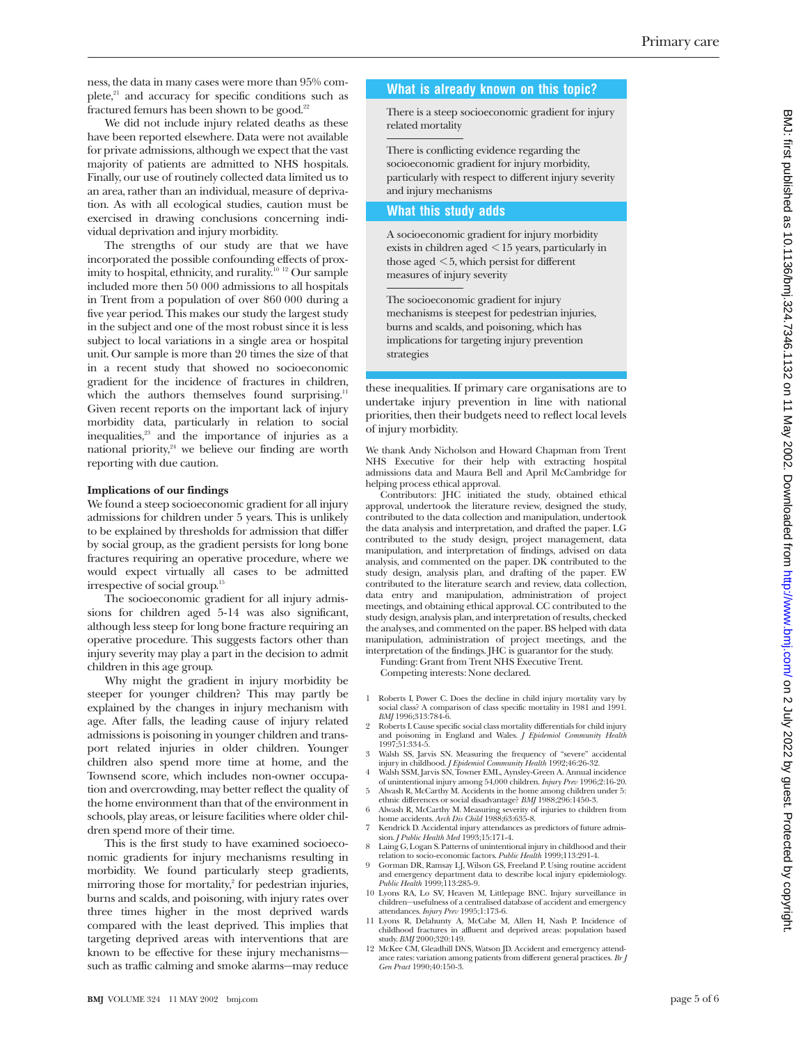ness, the data in many cases were more than 95% complete, $21$  and accuracy for specific conditions such as fractured femurs has been shown to be good.<sup>22</sup>

We did not include injury related deaths as these have been reported elsewhere. Data were not available for private admissions, although we expect that the vast majority of patients are admitted to NHS hospitals. Finally, our use of routinely collected data limited us to an area, rather than an individual, measure of deprivation. As with all ecological studies, caution must be exercised in drawing conclusions concerning individual deprivation and injury morbidity.

The strengths of our study are that we have incorporated the possible confounding effects of proximity to hospital, ethnicity, and rurality.10 12 Our sample included more then 50 000 admissions to all hospitals in Trent from a population of over 860 000 during a five year period. This makes our study the largest study in the subject and one of the most robust since it is less subject to local variations in a single area or hospital unit. Our sample is more than 20 times the size of that in a recent study that showed no socioeconomic gradient for the incidence of fractures in children, which the authors themselves found surprising.<sup>11</sup> Given recent reports on the important lack of injury morbidity data, particularly in relation to social inequalities,<sup>23</sup> and the importance of injuries as a national priority,<sup>24</sup> we believe our finding are worth reporting with due caution.

#### **Implications of our findings**

We found a steep socioeconomic gradient for all injury admissions for children under 5 years. This is unlikely to be explained by thresholds for admission that differ by social group, as the gradient persists for long bone fractures requiring an operative procedure, where we would expect virtually all cases to be admitted irrespective of social group.15

The socioeconomic gradient for all injury admissions for children aged 5-14 was also significant, although less steep for long bone fracture requiring an operative procedure. This suggests factors other than injury severity may play a part in the decision to admit children in this age group.

Why might the gradient in injury morbidity be steeper for younger children? This may partly be explained by the changes in injury mechanism with age. After falls, the leading cause of injury related admissions is poisoning in younger children and transport related injuries in older children. Younger children also spend more time at home, and the Townsend score, which includes non-owner occupation and overcrowding, may better reflect the quality of the home environment than that of the environment in schools, play areas, or leisure facilities where older children spend more of their time.

This is the first study to have examined socioeconomic gradients for injury mechanisms resulting in morbidity. We found particularly steep gradients, mirroring those for mortality, $\epsilon$  for pedestrian injuries, burns and scalds, and poisoning, with injury rates over three times higher in the most deprived wards compared with the least deprived. This implies that targeting deprived areas with interventions that are known to be effective for these injury mechanisms such as traffic calming and smoke alarms—may reduce

## **What is already known on this topic?**

There is a steep socioeconomic gradient for injury related mortality

There is conflicting evidence regarding the socioeconomic gradient for injury morbidity, particularly with respect to different injury severity and injury mechanisms

#### **What this study adds**

A socioeconomic gradient for injury morbidity exists in children aged < 15 years, particularly in those aged < 5, which persist for different measures of injury severity

The socioeconomic gradient for injury mechanisms is steepest for pedestrian injuries, burns and scalds, and poisoning, which has implications for targeting injury prevention strategies

these inequalities. If primary care organisations are to undertake injury prevention in line with national priorities, then their budgets need to reflect local levels of injury morbidity.

We thank Andy Nicholson and Howard Chapman from Trent NHS Executive for their help with extracting hospital admissions data and Maura Bell and April McCambridge for helping process ethical approval.

Contributors: JHC initiated the study, obtained ethical approval, undertook the literature review, designed the study, contributed to the data collection and manipulation, undertook the data analysis and interpretation, and drafted the paper. LG contributed to the study design, project management, data manipulation, and interpretation of findings, advised on data analysis, and commented on the paper. DK contributed to the study design, analysis plan, and drafting of the paper. EW contributed to the literature search and review, data collection, data entry and manipulation, administration of project meetings, and obtaining ethical approval. CC contributed to the study design, analysis plan, and interpretation of results, checked the analyses, and commented on the paper. BS helped with data manipulation, administration of project meetings, and the interpretation of the findings. JHC is guarantor for the study.

Funding: Grant from Trent NHS Executive Trent. Competing interests: None declared.

- 1 Roberts I, Power C. Does the decline in child injury mortality vary by social class? A comparison of class specific mortality in 1981 and 1991. *BMJ* 1996;313:784-6.
- 2 Roberts I. Cause specific social class mortality differentials for child injury and poisoning in England and Wales. *J Epidemiol Community Health* 1997;51:334-5.
- 3 Walsh SS, Jarvis SN. Measuring the frequency of "severe" accidental injury in childhood. *J Epidemiol Community Health* 1992;46:26-32.
- 4 Walsh SSM, Jarvis SN, Towner EML, Aynsley-Green A. Annual incidence of unintentional injury among 54,000 children. *Injury Prev* 1996;2:16-20.
- 5 Alwash R, McCarthy M. Accidents in the home among children under 5: ethnic differences or social disadvantage? *BMJ* 1988;296:1450-3.
- 6 Alwash R, McCarthy M. Measuring severity of injuries to children from home accidents. *Arch Dis Child* 1988;63:635-8. 7 Kendrick D. Accidental injury attendances as predictors of future admis
	- sion. *J Public Health Med* 1993;15:171-4.
- 8 Laing G, Logan S. Patterns of unintentional injury in childhood and their relation to socio-economic factors. *Public Health* 1999;113:291-4.
- 9 Gorman DR, Ramsay LJ, Wilson GS, Freeland P. Using routine accident and emergency department data to describe local injury epidemiology. *Public Health* 1999;113:285-9.
- 10 Lyons RA, Lo SV, Heaven M, Littlepage BNC. Injury surveillance in children—usefulness of a centralised database of accident and emergency attendances. *Injury Prev* 1995;1:173-6.
- 11 Lyons R, Delahunty A, McCabe M, Allen H, Nash P. Incidence of childhood fractures in affluent and deprived areas: population based study. *BMJ* 2000;320:149.
- 12 McKee CM, Gleadhill DNS, Watson JD. Accident and emergency attendance rates: variation among patients from different general practices. *Br J Gen Pract* 1990;40:150-3.